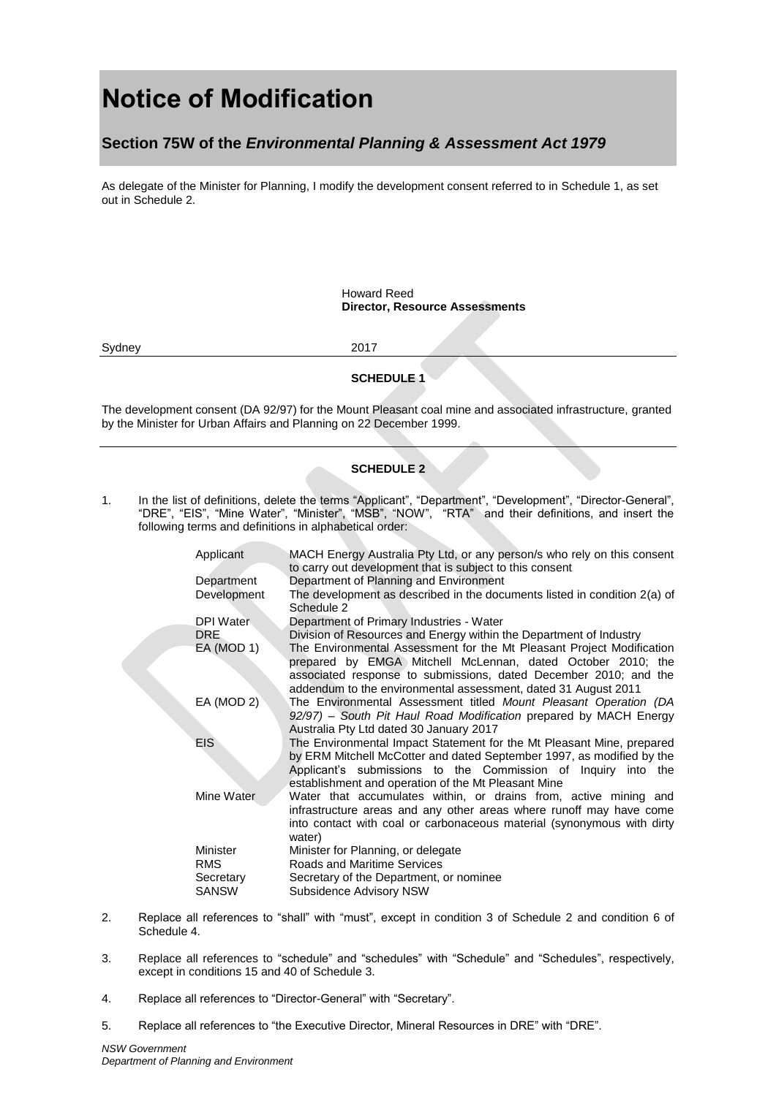# **Notice of Modification**

## **Section 75W of the** *Environmental Planning & Assessment Act 1979*

As delegate of the Minister for Planning, I modify the development consent referred to in Schedule 1, as set out in Schedule 2.

> Howard Reed **Director, Resource Assessments**

Sydney 2017

#### **SCHEDULE 1**

The development consent (DA 92/97) for the Mount Pleasant coal mine and associated infrastructure, granted by the Minister for Urban Affairs and Planning on 22 December 1999.

#### **SCHEDULE 2**

1. In the list of definitions, delete the terms "Applicant", "Department", "Development", "Director-General", "DRE", "EIS", "Mine Water", "Minister", "MSB", "NOW", "RTA" and their definitions, and insert the following terms and definitions in alphabetical order:

| Applicant                                           | MACH Energy Australia Pty Ltd, or any person/s who rely on this consent<br>to carry out development that is subject to this consent                                                                                                                                        |
|-----------------------------------------------------|----------------------------------------------------------------------------------------------------------------------------------------------------------------------------------------------------------------------------------------------------------------------------|
| Department                                          | Department of Planning and Environment                                                                                                                                                                                                                                     |
| Development                                         | The development as described in the documents listed in condition 2(a) of<br>Schedule 2                                                                                                                                                                                    |
| DPI Water                                           | Department of Primary Industries - Water                                                                                                                                                                                                                                   |
| DRE.                                                | Division of Resources and Energy within the Department of Industry                                                                                                                                                                                                         |
| EA (MOD 1)                                          | The Environmental Assessment for the Mt Pleasant Project Modification<br>prepared by EMGA Mitchell McLennan, dated October 2010; the<br>associated response to submissions, dated December 2010; and the<br>addendum to the environmental assessment, dated 31 August 2011 |
| EA (MOD 2)                                          | The Environmental Assessment titled Mount Pleasant Operation (DA<br>92/97) – South Pit Haul Road Modification prepared by MACH Energy<br>Australia Pty Ltd dated 30 January 2017                                                                                           |
| <b>EIS</b>                                          | The Environmental Impact Statement for the Mt Pleasant Mine, prepared<br>by ERM Mitchell McCotter and dated September 1997, as modified by the<br>Applicant's submissions to the Commission of Inquiry into the<br>establishment and operation of the Mt Pleasant Mine     |
| Mine Water                                          | Water that accumulates within, or drains from, active mining and<br>infrastructure areas and any other areas where runoff may have come<br>into contact with coal or carbonaceous material (synonymous with dirty<br>water)                                                |
| Minister<br><b>RMS</b><br>Secretary<br><b>SANSW</b> | Minister for Planning, or delegate<br><b>Roads and Maritime Services</b><br>Secretary of the Department, or nominee<br>Subsidence Advisory NSW                                                                                                                             |

- 2. Replace all references to "shall" with "must", except in condition 3 of Schedule 2 and condition 6 of Schedule 4.
- 3. Replace all references to "schedule" and "schedules" with "Schedule" and "Schedules", respectively, except in conditions 15 and 40 of Schedule 3.
- 4. Replace all references to "Director-General" with "Secretary".
- 5. Replace all references to "the Executive Director, Mineral Resources in DRE" with "DRE".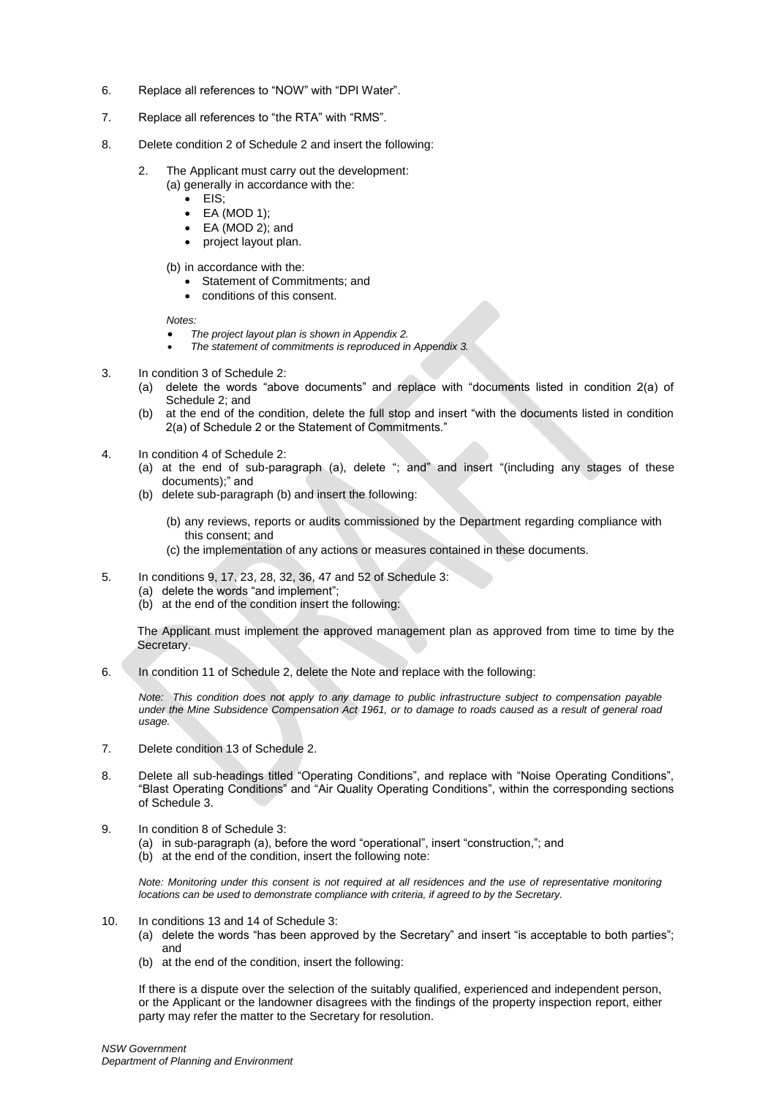- 6. Replace all references to "NOW" with "DPI Water".
- 7. Replace all references to "the RTA" with "RMS".
- 8. Delete condition 2 of Schedule 2 and insert the following:
	- 2. The Applicant must carry out the development:
		- (a) generally in accordance with the:
			- EIS:
			- EA (MOD 1); EA (MOD 2); and
			- project layout plan.
		- (b) in accordance with the:
			- **Statement of Commitments: and**
			- conditions of this consent.

*Notes:*

- *The project layout plan is shown in Appendix 2.*
- *The statement of commitments is reproduced in Appendix 3.*
- 3. In condition 3 of Schedule 2:
	- (a) delete the words "above documents" and replace with "documents listed in condition 2(a) of Schedule 2; and
	- (b) at the end of the condition, delete the full stop and insert "with the documents listed in condition 2(a) of Schedule 2 or the Statement of Commitments."
- 4. In condition 4 of Schedule 2:
	- (a) at the end of sub-paragraph (a), delete "; and" and insert "(including any stages of these documents);" and
	- (b) delete sub-paragraph (b) and insert the following:
		- (b) any reviews, reports or audits commissioned by the Department regarding compliance with this consent; and
		- (c) the implementation of any actions or measures contained in these documents.
- 5. In conditions 9, 17, 23, 28, 32, 36, 47 and 52 of Schedule 3:
	- (a) delete the words "and implement";
	- (b) at the end of the condition insert the following:

The Applicant must implement the approved management plan as approved from time to time by the Secretary.

6. In condition 11 of Schedule 2, delete the Note and replace with the following:

*Note: This condition does not apply to any damage to public infrastructure subject to compensation payable under the Mine Subsidence Compensation Act 1961, or to damage to roads caused as a result of general road usage.* 

- 7. Delete condition 13 of Schedule 2.
- 8. Delete all sub-headings titled "Operating Conditions", and replace with "Noise Operating Conditions", "Blast Operating Conditions" and "Air Quality Operating Conditions", within the corresponding sections of Schedule 3.
- 9. In condition 8 of Schedule 3:
	- (a) in sub-paragraph (a), before the word "operational", insert "construction,"; and
	- (b) at the end of the condition, insert the following note:

*Note: Monitoring under this consent is not required at all residences and the use of representative monitoring locations can be used to demonstrate compliance with criteria, if agreed to by the Secretary.* 

- 10. In conditions 13 and 14 of Schedule 3:
	- (a) delete the words "has been approved by the Secretary" and insert "is acceptable to both parties"; and
	- (b) at the end of the condition, insert the following:

If there is a dispute over the selection of the suitably qualified, experienced and independent person, or the Applicant or the landowner disagrees with the findings of the property inspection report, either party may refer the matter to the Secretary for resolution.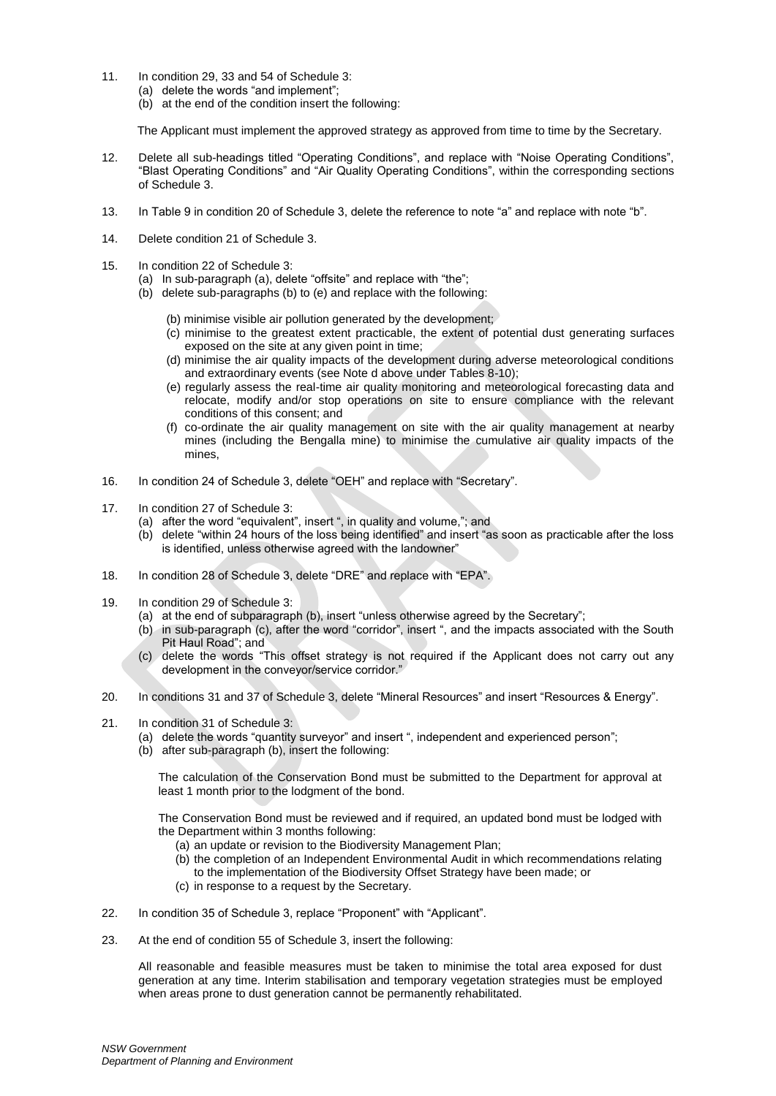- 11. In condition 29, 33 and 54 of Schedule 3:
	- (a) delete the words "and implement";
	- (b) at the end of the condition insert the following:

The Applicant must implement the approved strategy as approved from time to time by the Secretary.

- 12. Delete all sub-headings titled "Operating Conditions", and replace with "Noise Operating Conditions", "Blast Operating Conditions" and "Air Quality Operating Conditions", within the corresponding sections of Schedule 3.
- 13. In Table 9 in condition 20 of Schedule 3, delete the reference to note "a" and replace with note "b".
- 14. Delete condition 21 of Schedule 3.
- 15. In condition 22 of Schedule 3:
	- (a) In sub-paragraph (a), delete "offsite" and replace with "the";
	- (b) delete sub-paragraphs (b) to (e) and replace with the following:
		- (b) minimise visible air pollution generated by the development;
		- (c) minimise to the greatest extent practicable, the extent of potential dust generating surfaces exposed on the site at any given point in time;
		- (d) minimise the air quality impacts of the development during adverse meteorological conditions and extraordinary events (see Note d above under Tables 8-10);
		- (e) regularly assess the real-time air quality monitoring and meteorological forecasting data and relocate, modify and/or stop operations on site to ensure compliance with the relevant conditions of this consent; and
		- (f) co-ordinate the air quality management on site with the air quality management at nearby mines (including the Bengalla mine) to minimise the cumulative air quality impacts of the mines,
- 16. In condition 24 of Schedule 3, delete "OEH" and replace with "Secretary".
- 17. In condition 27 of Schedule 3:
	- (a) after the word "equivalent", insert ", in quality and volume,"; and
	- (b) delete "within 24 hours of the loss being identified" and insert "as soon as practicable after the loss is identified, unless otherwise agreed with the landowner"
- 18. In condition 28 of Schedule 3, delete "DRE" and replace with "EPA".
- 19. In condition 29 of Schedule 3:
	- (a) at the end of subparagraph (b), insert "unless otherwise agreed by the Secretary";
	- (b) in sub-paragraph (c), after the word "corridor", insert ", and the impacts associated with the South Pit Haul Road"; and
	- (c) delete the words "This offset strategy is not required if the Applicant does not carry out any development in the conveyor/service corridor."
- 20. In conditions 31 and 37 of Schedule 3, delete "Mineral Resources" and insert "Resources & Energy".
- 21. In condition 31 of Schedule 3:
	- (a) delete the words "quantity surveyor" and insert ", independent and experienced person";
	- (b) after sub-paragraph (b), insert the following:

The calculation of the Conservation Bond must be submitted to the Department for approval at least 1 month prior to the lodgment of the bond.

The Conservation Bond must be reviewed and if required, an updated bond must be lodged with the Department within 3 months following:

- (a) an update or revision to the Biodiversity Management Plan;
- (b) the completion of an Independent Environmental Audit in which recommendations relating
- to the implementation of the Biodiversity Offset Strategy have been made; or
- (c) in response to a request by the Secretary.
- 22. In condition 35 of Schedule 3, replace "Proponent" with "Applicant".
- 23. At the end of condition 55 of Schedule 3, insert the following:

All reasonable and feasible measures must be taken to minimise the total area exposed for dust generation at any time. Interim stabilisation and temporary vegetation strategies must be employed when areas prone to dust generation cannot be permanently rehabilitated.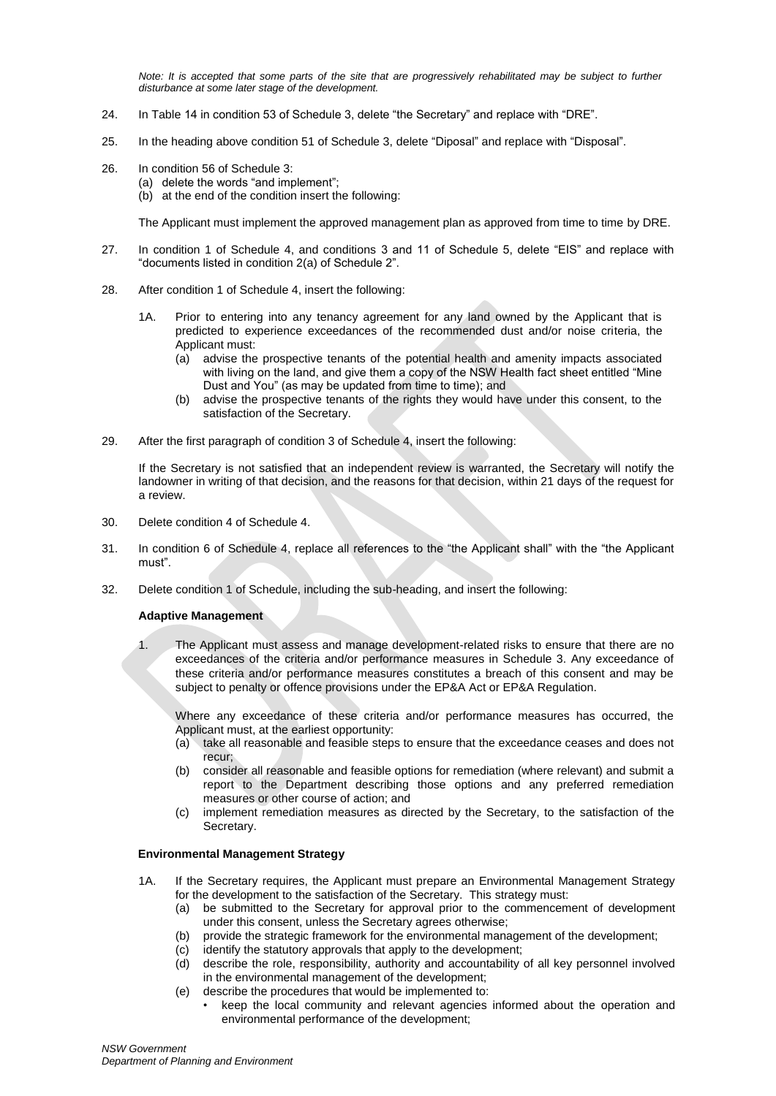*Note: It is accepted that some parts of the site that are progressively rehabilitated may be subject to further disturbance at some later stage of the development.* 

- 24. In Table 14 in condition 53 of Schedule 3, delete "the Secretary" and replace with "DRE".
- 25. In the heading above condition 51 of Schedule 3, delete "Diposal" and replace with "Disposal".
- 26. In condition 56 of Schedule 3:
	- (a) delete the words "and implement";
	- (b) at the end of the condition insert the following:

The Applicant must implement the approved management plan as approved from time to time by DRE.

- 27. In condition 1 of Schedule 4, and conditions 3 and 11 of Schedule 5, delete "EIS" and replace with "documents listed in condition 2(a) of Schedule 2".
- 28. After condition 1 of Schedule 4, insert the following:
	- 1A. Prior to entering into any tenancy agreement for any land owned by the Applicant that is predicted to experience exceedances of the recommended dust and/or noise criteria, the Applicant must:
		- (a) advise the prospective tenants of the potential health and amenity impacts associated with living on the land, and give them a copy of the NSW Health fact sheet entitled "Mine Dust and You" (as may be updated from time to time); and
		- (b) advise the prospective tenants of the rights they would have under this consent, to the satisfaction of the Secretary.
- 29. After the first paragraph of condition 3 of Schedule 4, insert the following:

If the Secretary is not satisfied that an independent review is warranted, the Secretary will notify the landowner in writing of that decision, and the reasons for that decision, within 21 days of the request for a review.

- 30. Delete condition 4 of Schedule 4.
- 31. In condition 6 of Schedule 4, replace all references to the "the Applicant shall" with the "the Applicant must".
- 32. Delete condition 1 of Schedule, including the sub-heading, and insert the following:

#### **Adaptive Management**

1. The Applicant must assess and manage development-related risks to ensure that there are no exceedances of the criteria and/or performance measures in Schedule 3. Any exceedance of these criteria and/or performance measures constitutes a breach of this consent and may be subject to penalty or offence provisions under the EP&A Act or EP&A Regulation.

Where any exceedance of these criteria and/or performance measures has occurred, the Applicant must, at the earliest opportunity:

- (a) take all reasonable and feasible steps to ensure that the exceedance ceases and does not recur;
- (b) consider all reasonable and feasible options for remediation (where relevant) and submit a report to the Department describing those options and any preferred remediation measures or other course of action; and
- (c) implement remediation measures as directed by the Secretary, to the satisfaction of the Secretary.

#### **Environmental Management Strategy**

- 1A. If the Secretary requires, the Applicant must prepare an Environmental Management Strategy for the development to the satisfaction of the Secretary. This strategy must:
	- (a) be submitted to the Secretary for approval prior to the commencement of development under this consent, unless the Secretary agrees otherwise;
	- (b) provide the strategic framework for the environmental management of the development;
	- (c) identify the statutory approvals that apply to the development;
	- (d) describe the role, responsibility, authority and accountability of all key personnel involved in the environmental management of the development;
	- (e) describe the procedures that would be implemented to:
		- keep the local community and relevant agencies informed about the operation and environmental performance of the development;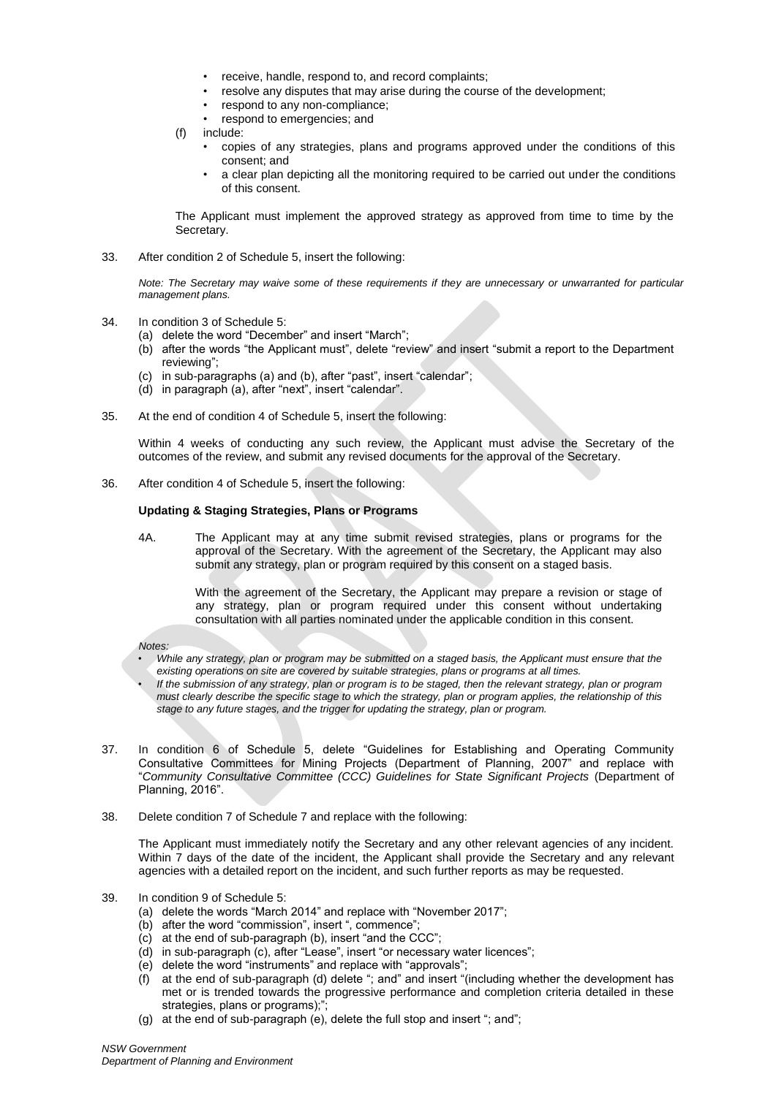- receive, handle, respond to, and record complaints;
- resolve any disputes that may arise during the course of the development;
- respond to any non-compliance;
- respond to emergencies; and
- (f) include:
	- copies of any strategies, plans and programs approved under the conditions of this consent; and
	- a clear plan depicting all the monitoring required to be carried out under the conditions of this consent.

The Applicant must implement the approved strategy as approved from time to time by the Secretary.

33. After condition 2 of Schedule 5, insert the following:

*Note: The Secretary may waive some of these requirements if they are unnecessary or unwarranted for particular management plans.* 

- 34. In condition 3 of Schedule 5:
	- (a) delete the word "December" and insert "March";
	- (b) after the words "the Applicant must", delete "review" and insert "submit a report to the Department reviewing";
	- (c) in sub-paragraphs (a) and (b), after "past", insert "calendar";
	- (d) in paragraph (a), after "next", insert "calendar".
- 35. At the end of condition 4 of Schedule 5, insert the following:

Within 4 weeks of conducting any such review, the Applicant must advise the Secretary of the outcomes of the review, and submit any revised documents for the approval of the Secretary.

36. After condition 4 of Schedule 5, insert the following:

#### **Updating & Staging Strategies, Plans or Programs**

4A. The Applicant may at any time submit revised strategies, plans or programs for the approval of the Secretary. With the agreement of the Secretary, the Applicant may also submit any strategy, plan or program required by this consent on a staged basis.

> With the agreement of the Secretary, the Applicant may prepare a revision or stage of any strategy, plan or program required under this consent without undertaking consultation with all parties nominated under the applicable condition in this consent.

*Notes:* 

- *While any strategy, plan or program may be submitted on a staged basis, the Applicant must ensure that the existing operations on site are covered by suitable strategies, plans or programs at all times.*
- *If the submission of any strategy, plan or program is to be staged, then the relevant strategy, plan or program must clearly describe the specific stage to which the strategy, plan or program applies, the relationship of this stage to any future stages, and the trigger for updating the strategy, plan or program.*
- 37. In condition 6 of Schedule 5, delete "Guidelines for Establishing and Operating Community Consultative Committees for Mining Projects (Department of Planning, 2007" and replace with "*Community Consultative Committee (CCC) Guidelines for State Significant Projects* (Department of Planning, 2016".
- 38. Delete condition 7 of Schedule 7 and replace with the following:

The Applicant must immediately notify the Secretary and any other relevant agencies of any incident. Within 7 days of the date of the incident, the Applicant shall provide the Secretary and any relevant agencies with a detailed report on the incident, and such further reports as may be requested.

- 39. In condition 9 of Schedule 5:
	- (a) delete the words "March 2014" and replace with "November 2017";
	- (b) after the word "commission", insert ", commence";
	- (c) at the end of sub-paragraph (b), insert "and the CCC";
	- (d) in sub-paragraph (c), after "Lease", insert "or necessary water licences";
	- (e) delete the word "instruments" and replace with "approvals";
	- (f) at the end of sub-paragraph (d) delete "; and" and insert "(including whether the development has met or is trended towards the progressive performance and completion criteria detailed in these strategies, plans or programs);";
	- (g) at the end of sub-paragraph (e), delete the full stop and insert "; and";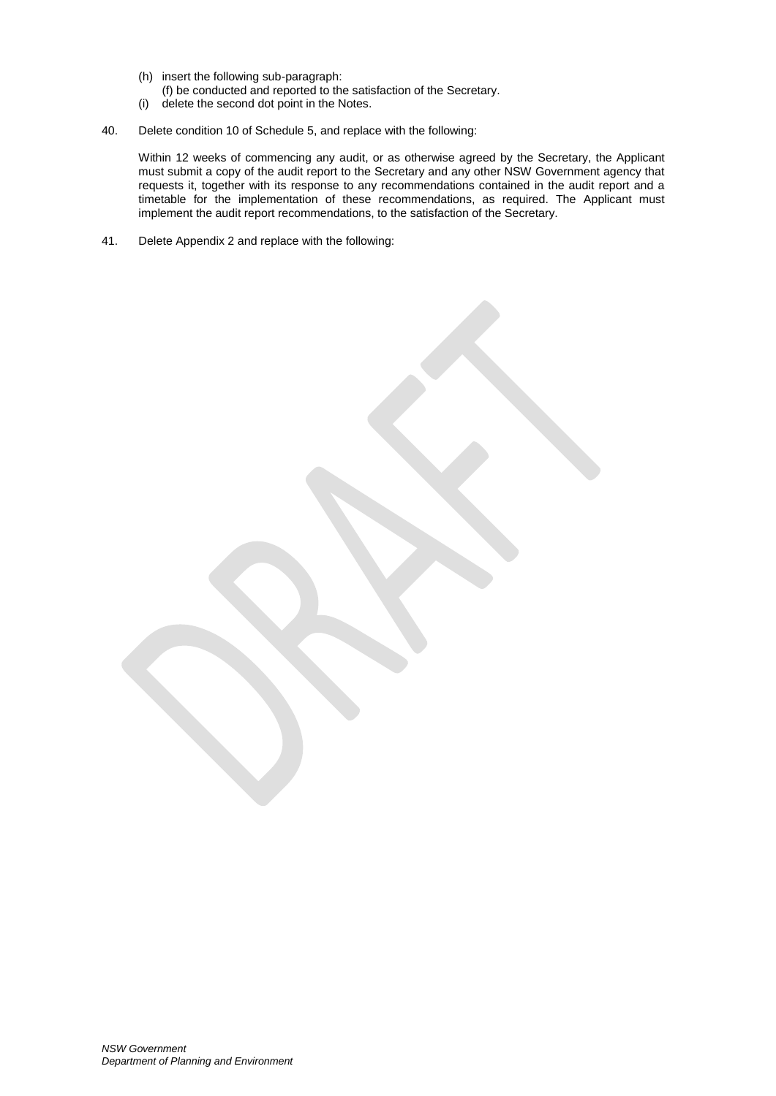- (h) insert the following sub-paragraph:
- (f) be conducted and reported to the satisfaction of the Secretary.
- (i) delete the second dot point in the Notes.
- 40. Delete condition 10 of Schedule 5, and replace with the following:

Within 12 weeks of commencing any audit, or as otherwise agreed by the Secretary, the Applicant must submit a copy of the audit report to the Secretary and any other NSW Government agency that requests it, together with its response to any recommendations contained in the audit report and a timetable for the implementation of these recommendations, as required. The Applicant must implement the audit report recommendations, to the satisfaction of the Secretary.

41. Delete Appendix 2 and replace with the following: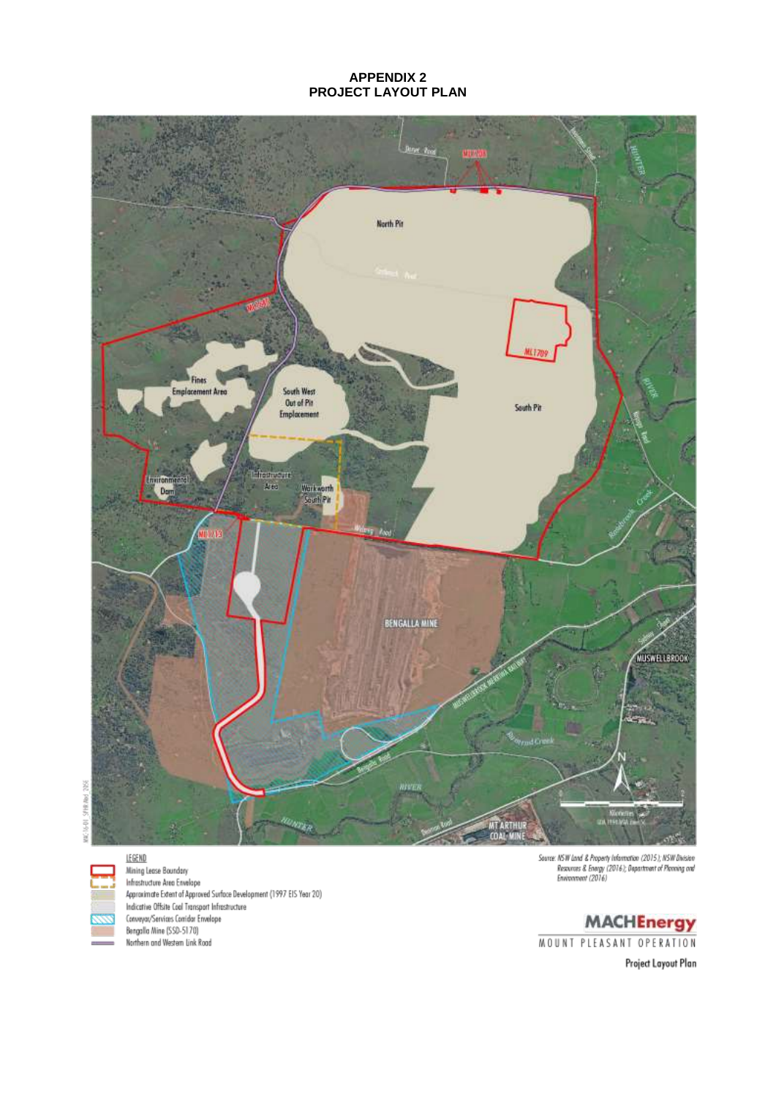### **APPENDIX 2 PROJECT LAYOUT PLAN**



LEGEND Mining Lease Boundary maning cease coomaary<br>Infrastructure Area Envelope<br>Approximate Extent of Approved Surface Development (1997 EIS Year 20) Indicative Offsite Coal Transport Infrastructure Conveyar/Services Corridar Envelope Bengalla Mine (SSD-5170) Northern and Western Link Road

 $\label{eq:2} \begin{array}{ll} \textit{Source.}\; \textit{NSW} \; \textit{land} \; \mathcal{Z} \; \textit{Property} \; \textit{leformation} \; \textit{(2015)}, \; \textit{NSW} \; \textit{Discise} \\ & \; \textit{Resource.} \; \mathcal{Z} \; \textit{Energy} \; \textit{(2016)}, \; \textit{Department of Processing} \; \textit{out} \\ & \; \textit{Environment} \; \textit{(2016)} \end{array}$ 

**MACHEnergy** MOUNT PLEASANT OPERATION

Project Layout Plan